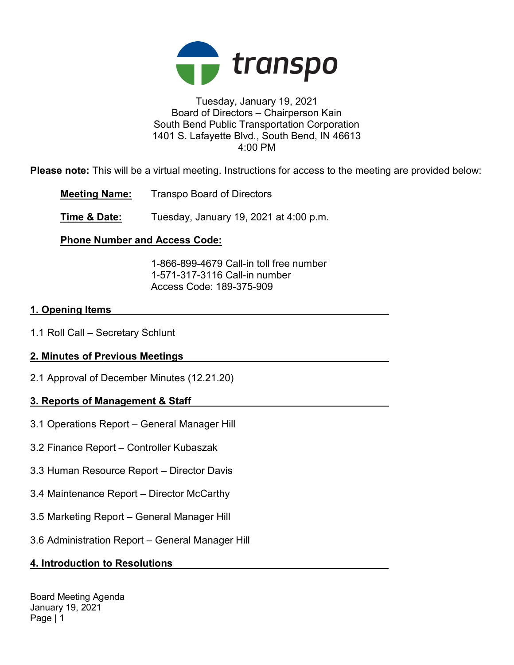

### Tuesday, January 19, 2021 Board of Directors – Chairperson Kain South Bend Public Transportation Corporation 1401 S. Lafayette Blvd., South Bend, IN 46613 4:00 PM

Please note: This will be a virtual meeting. Instructions for access to the meeting are provided below:

Meeting Name: Transpo Board of Directors

**Time & Date:** Tuesday, January 19, 2021 at 4:00 p.m.

# Phone Number and Access Code:

 1-866-899-4679 Call-in toll free number 1-571-317-3116 Call-in number Access Code: 189-375-909

## 1. Opening Items

1.1 Roll Call – Secretary Schlunt

# 2. Minutes of Previous Meetings

2.1 Approval of December Minutes (12.21.20)

# 3. Reports of Management & Staff

- 3.1 Operations Report General Manager Hill
- 3.2 Finance Report Controller Kubaszak
- 3.3 Human Resource Report Director Davis
- 3.4 Maintenance Report Director McCarthy
- 3.5 Marketing Report General Manager Hill
- 3.6 Administration Report General Manager Hill

# 4. Introduction to Resolutions

Board Meeting Agenda January 19, 2021 Page | 1